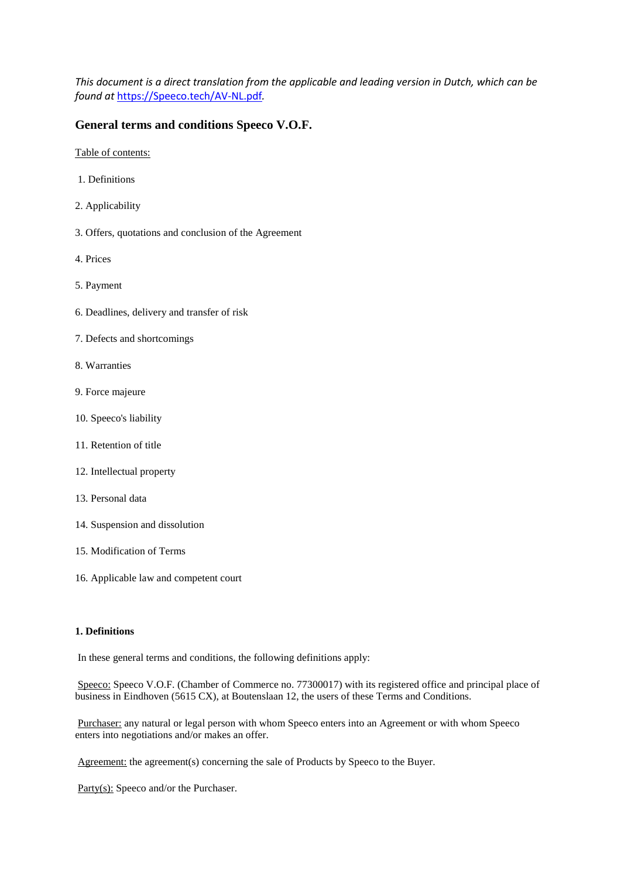*This document is a direct translation from the applicable and leading version in Dutch, which can be found at* [https://Speeco.tech/AV-NL.pdf](https://speeco.tech/AV-NL.pdf)*.* 

# **General terms and conditions Speeco V.O.F.**

Table of contents:

- 1. Definitions
- 2. Applicability
- 3. Offers, quotations and conclusion of the Agreement
- 4. Prices
- 5. Payment
- 6. Deadlines, delivery and transfer of risk
- 7. Defects and shortcomings
- 8. Warranties
- 9. Force majeure
- 10. Speeco's liability
- 11. Retention of title
- 12. Intellectual property
- 13. Personal data
- 14. Suspension and dissolution
- 15. Modification of Terms
- 16. Applicable law and competent court

#### **1. Definitions**

In these general terms and conditions, the following definitions apply:

Speeco: Speeco V.O.F. (Chamber of Commerce no. 77300017) with its registered office and principal place of business in Eindhoven (5615 CX), at Boutenslaan 12, the users of these Terms and Conditions.

Purchaser: any natural or legal person with whom Speeco enters into an Agreement or with whom Speeco enters into negotiations and/or makes an offer.

Agreement: the agreement(s) concerning the sale of Products by Speeco to the Buyer.

Party(s): Speeco and/or the Purchaser.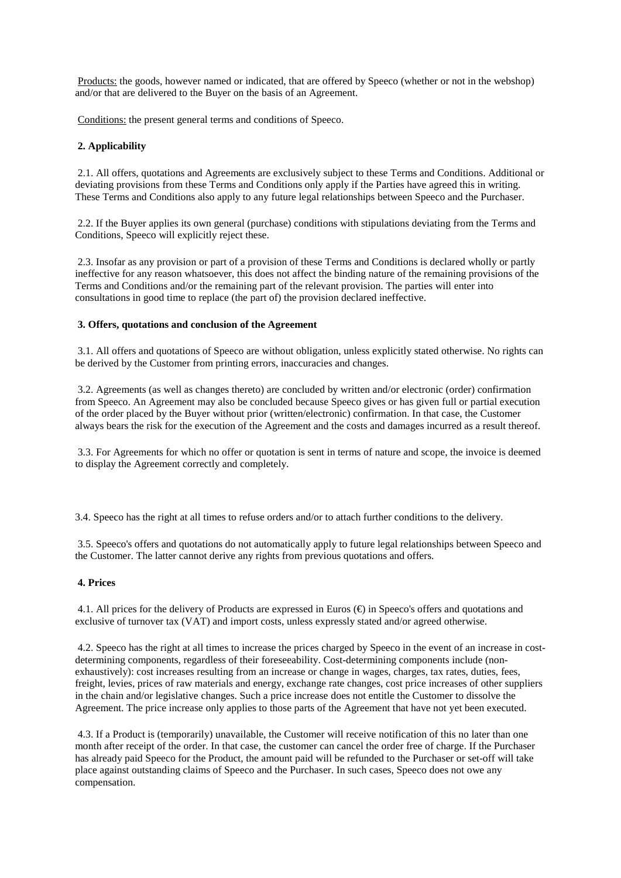Products: the goods, however named or indicated, that are offered by Speeco (whether or not in the webshop) and/or that are delivered to the Buyer on the basis of an Agreement.

Conditions: the present general terms and conditions of Speeco.

# **2. Applicability**

2.1. All offers, quotations and Agreements are exclusively subject to these Terms and Conditions. Additional or deviating provisions from these Terms and Conditions only apply if the Parties have agreed this in writing. These Terms and Conditions also apply to any future legal relationships between Speeco and the Purchaser.

2.2. If the Buyer applies its own general (purchase) conditions with stipulations deviating from the Terms and Conditions, Speeco will explicitly reject these.

2.3. Insofar as any provision or part of a provision of these Terms and Conditions is declared wholly or partly ineffective for any reason whatsoever, this does not affect the binding nature of the remaining provisions of the Terms and Conditions and/or the remaining part of the relevant provision. The parties will enter into consultations in good time to replace (the part of) the provision declared ineffective.

### **3. Offers, quotations and conclusion of the Agreement**

3.1. All offers and quotations of Speeco are without obligation, unless explicitly stated otherwise. No rights can be derived by the Customer from printing errors, inaccuracies and changes.

3.2. Agreements (as well as changes thereto) are concluded by written and/or electronic (order) confirmation from Speeco. An Agreement may also be concluded because Speeco gives or has given full or partial execution of the order placed by the Buyer without prior (written/electronic) confirmation. In that case, the Customer always bears the risk for the execution of the Agreement and the costs and damages incurred as a result thereof.

3.3. For Agreements for which no offer or quotation is sent in terms of nature and scope, the invoice is deemed to display the Agreement correctly and completely.

3.4. Speeco has the right at all times to refuse orders and/or to attach further conditions to the delivery.

3.5. Speeco's offers and quotations do not automatically apply to future legal relationships between Speeco and the Customer. The latter cannot derive any rights from previous quotations and offers.

### **4. Prices**

4.1. All prices for the delivery of Products are expressed in Euros (€) in Speeco's offers and quotations and exclusive of turnover tax (VAT) and import costs, unless expressly stated and/or agreed otherwise.

4.2. Speeco has the right at all times to increase the prices charged by Speeco in the event of an increase in costdetermining components, regardless of their foreseeability. Cost-determining components include (nonexhaustively): cost increases resulting from an increase or change in wages, charges, tax rates, duties, fees, freight, levies, prices of raw materials and energy, exchange rate changes, cost price increases of other suppliers in the chain and/or legislative changes. Such a price increase does not entitle the Customer to dissolve the Agreement. The price increase only applies to those parts of the Agreement that have not yet been executed.

4.3. If a Product is (temporarily) unavailable, the Customer will receive notification of this no later than one month after receipt of the order. In that case, the customer can cancel the order free of charge. If the Purchaser has already paid Speeco for the Product, the amount paid will be refunded to the Purchaser or set-off will take place against outstanding claims of Speeco and the Purchaser. In such cases, Speeco does not owe any compensation.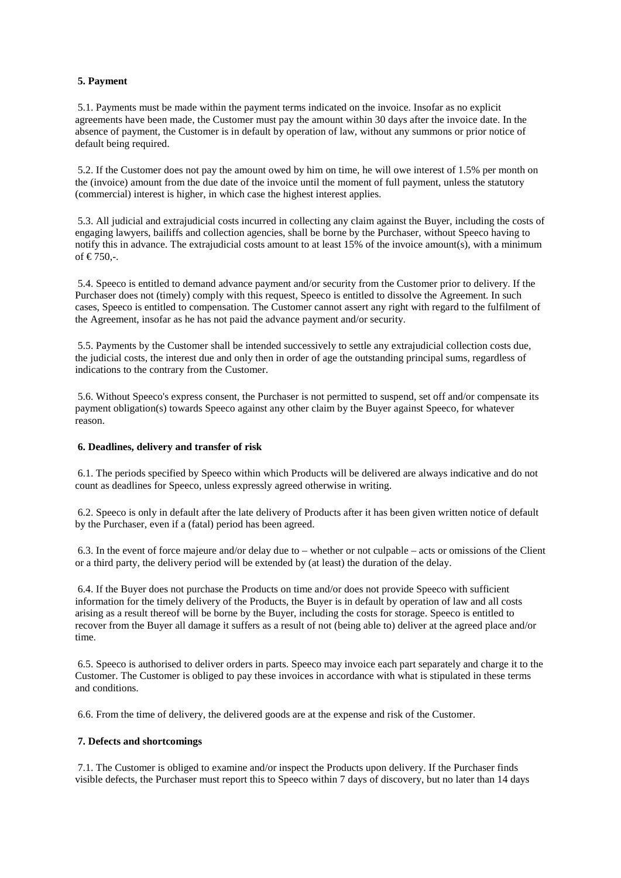# **5. Payment**

5.1. Payments must be made within the payment terms indicated on the invoice. Insofar as no explicit agreements have been made, the Customer must pay the amount within 30 days after the invoice date. In the absence of payment, the Customer is in default by operation of law, without any summons or prior notice of default being required.

5.2. If the Customer does not pay the amount owed by him on time, he will owe interest of 1.5% per month on the (invoice) amount from the due date of the invoice until the moment of full payment, unless the statutory (commercial) interest is higher, in which case the highest interest applies.

5.3. All judicial and extrajudicial costs incurred in collecting any claim against the Buyer, including the costs of engaging lawyers, bailiffs and collection agencies, shall be borne by the Purchaser, without Speeco having to notify this in advance. The extrajudicial costs amount to at least 15% of the invoice amount(s), with a minimum of €750,-.

5.4. Speeco is entitled to demand advance payment and/or security from the Customer prior to delivery. If the Purchaser does not (timely) comply with this request, Speeco is entitled to dissolve the Agreement. In such cases, Speeco is entitled to compensation. The Customer cannot assert any right with regard to the fulfilment of the Agreement, insofar as he has not paid the advance payment and/or security.

5.5. Payments by the Customer shall be intended successively to settle any extrajudicial collection costs due, the judicial costs, the interest due and only then in order of age the outstanding principal sums, regardless of indications to the contrary from the Customer.

5.6. Without Speeco's express consent, the Purchaser is not permitted to suspend, set off and/or compensate its payment obligation(s) towards Speeco against any other claim by the Buyer against Speeco, for whatever reason.

#### **6. Deadlines, delivery and transfer of risk**

6.1. The periods specified by Speeco within which Products will be delivered are always indicative and do not count as deadlines for Speeco, unless expressly agreed otherwise in writing.

6.2. Speeco is only in default after the late delivery of Products after it has been given written notice of default by the Purchaser, even if a (fatal) period has been agreed.

6.3. In the event of force majeure and/or delay due to – whether or not culpable – acts or omissions of the Client or a third party, the delivery period will be extended by (at least) the duration of the delay.

6.4. If the Buyer does not purchase the Products on time and/or does not provide Speeco with sufficient information for the timely delivery of the Products, the Buyer is in default by operation of law and all costs arising as a result thereof will be borne by the Buyer, including the costs for storage. Speeco is entitled to recover from the Buyer all damage it suffers as a result of not (being able to) deliver at the agreed place and/or time.

6.5. Speeco is authorised to deliver orders in parts. Speeco may invoice each part separately and charge it to the Customer. The Customer is obliged to pay these invoices in accordance with what is stipulated in these terms and conditions.

6.6. From the time of delivery, the delivered goods are at the expense and risk of the Customer.

### **7. Defects and shortcomings**

7.1. The Customer is obliged to examine and/or inspect the Products upon delivery. If the Purchaser finds visible defects, the Purchaser must report this to Speeco within 7 days of discovery, but no later than 14 days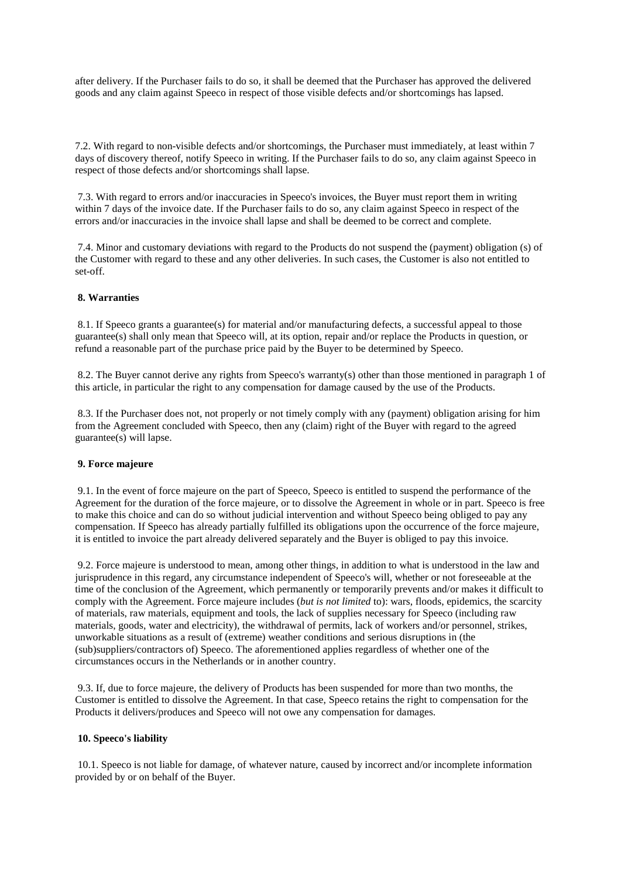after delivery. If the Purchaser fails to do so, it shall be deemed that the Purchaser has approved the delivered goods and any claim against Speeco in respect of those visible defects and/or shortcomings has lapsed.

7.2. With regard to non-visible defects and/or shortcomings, the Purchaser must immediately, at least within 7 days of discovery thereof, notify Speeco in writing. If the Purchaser fails to do so, any claim against Speeco in respect of those defects and/or shortcomings shall lapse.

7.3. With regard to errors and/or inaccuracies in Speeco's invoices, the Buyer must report them in writing within 7 days of the invoice date. If the Purchaser fails to do so, any claim against Speeco in respect of the errors and/or inaccuracies in the invoice shall lapse and shall be deemed to be correct and complete.

7.4. Minor and customary deviations with regard to the Products do not suspend the (payment) obligation (s) of the Customer with regard to these and any other deliveries. In such cases, the Customer is also not entitled to set-off.

# **8. Warranties**

8.1. If Speeco grants a guarantee(s) for material and/or manufacturing defects, a successful appeal to those guarantee(s) shall only mean that Speeco will, at its option, repair and/or replace the Products in question, or refund a reasonable part of the purchase price paid by the Buyer to be determined by Speeco.

8.2. The Buyer cannot derive any rights from Speeco's warranty(s) other than those mentioned in paragraph 1 of this article, in particular the right to any compensation for damage caused by the use of the Products.

8.3. If the Purchaser does not, not properly or not timely comply with any (payment) obligation arising for him from the Agreement concluded with Speeco, then any (claim) right of the Buyer with regard to the agreed guarantee(s) will lapse.

#### **9. Force majeure**

9.1. In the event of force majeure on the part of Speeco, Speeco is entitled to suspend the performance of the Agreement for the duration of the force majeure, or to dissolve the Agreement in whole or in part. Speeco is free to make this choice and can do so without judicial intervention and without Speeco being obliged to pay any compensation. If Speeco has already partially fulfilled its obligations upon the occurrence of the force majeure, it is entitled to invoice the part already delivered separately and the Buyer is obliged to pay this invoice.

9.2. Force majeure is understood to mean, among other things, in addition to what is understood in the law and jurisprudence in this regard, any circumstance independent of Speeco's will, whether or not foreseeable at the time of the conclusion of the Agreement, which permanently or temporarily prevents and/or makes it difficult to comply with the Agreement. Force majeure includes (*but is not limited* to): wars, floods, epidemics, the scarcity of materials, raw materials, equipment and tools, the lack of supplies necessary for Speeco (including raw materials, goods, water and electricity), the withdrawal of permits, lack of workers and/or personnel, strikes, unworkable situations as a result of (extreme) weather conditions and serious disruptions in (the (sub)suppliers/contractors of) Speeco. The aforementioned applies regardless of whether one of the circumstances occurs in the Netherlands or in another country.

9.3. If, due to force majeure, the delivery of Products has been suspended for more than two months, the Customer is entitled to dissolve the Agreement. In that case, Speeco retains the right to compensation for the Products it delivers/produces and Speeco will not owe any compensation for damages.

#### **10. Speeco's liability**

10.1. Speeco is not liable for damage, of whatever nature, caused by incorrect and/or incomplete information provided by or on behalf of the Buyer.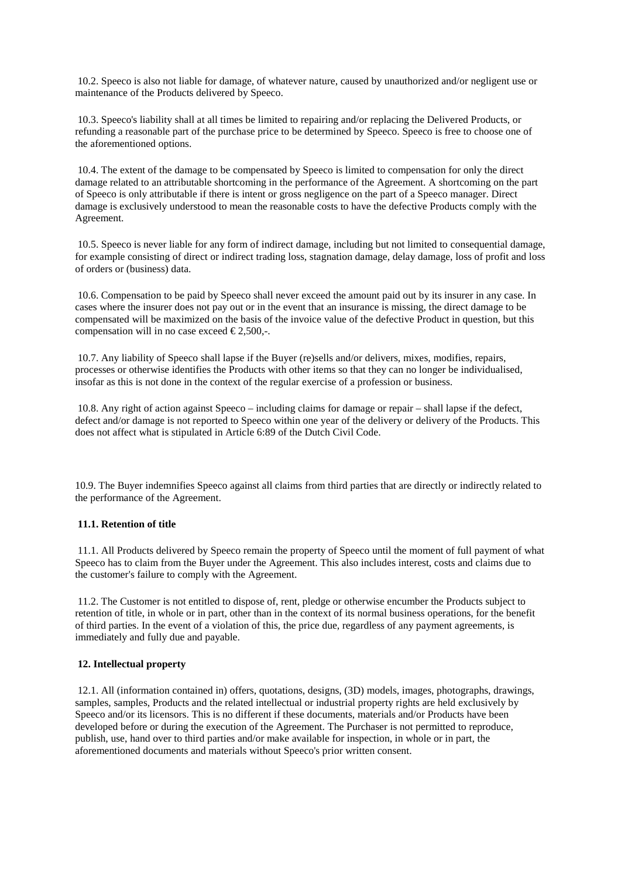10.2. Speeco is also not liable for damage, of whatever nature, caused by unauthorized and/or negligent use or maintenance of the Products delivered by Speeco.

10.3. Speeco's liability shall at all times be limited to repairing and/or replacing the Delivered Products, or refunding a reasonable part of the purchase price to be determined by Speeco. Speeco is free to choose one of the aforementioned options.

10.4. The extent of the damage to be compensated by Speeco is limited to compensation for only the direct damage related to an attributable shortcoming in the performance of the Agreement. A shortcoming on the part of Speeco is only attributable if there is intent or gross negligence on the part of a Speeco manager. Direct damage is exclusively understood to mean the reasonable costs to have the defective Products comply with the Agreement.

10.5. Speeco is never liable for any form of indirect damage, including but not limited to consequential damage, for example consisting of direct or indirect trading loss, stagnation damage, delay damage, loss of profit and loss of orders or (business) data.

10.6. Compensation to be paid by Speeco shall never exceed the amount paid out by its insurer in any case. In cases where the insurer does not pay out or in the event that an insurance is missing, the direct damage to be compensated will be maximized on the basis of the invoice value of the defective Product in question, but this compensation will in no case exceed  $\epsilon$ 2,500,-.

10.7. Any liability of Speeco shall lapse if the Buyer (re)sells and/or delivers, mixes, modifies, repairs, processes or otherwise identifies the Products with other items so that they can no longer be individualised, insofar as this is not done in the context of the regular exercise of a profession or business.

10.8. Any right of action against Speeco – including claims for damage or repair – shall lapse if the defect, defect and/or damage is not reported to Speeco within one year of the delivery or delivery of the Products. This does not affect what is stipulated in Article 6:89 of the Dutch Civil Code.

10.9. The Buyer indemnifies Speeco against all claims from third parties that are directly or indirectly related to the performance of the Agreement.

### **11.1. Retention of title**

11.1. All Products delivered by Speeco remain the property of Speeco until the moment of full payment of what Speeco has to claim from the Buyer under the Agreement. This also includes interest, costs and claims due to the customer's failure to comply with the Agreement.

11.2. The Customer is not entitled to dispose of, rent, pledge or otherwise encumber the Products subject to retention of title, in whole or in part, other than in the context of its normal business operations, for the benefit of third parties. In the event of a violation of this, the price due, regardless of any payment agreements, is immediately and fully due and payable.

#### **12. Intellectual property**

12.1. All (information contained in) offers, quotations, designs, (3D) models, images, photographs, drawings, samples, samples, Products and the related intellectual or industrial property rights are held exclusively by Speeco and/or its licensors. This is no different if these documents, materials and/or Products have been developed before or during the execution of the Agreement. The Purchaser is not permitted to reproduce, publish, use, hand over to third parties and/or make available for inspection, in whole or in part, the aforementioned documents and materials without Speeco's prior written consent.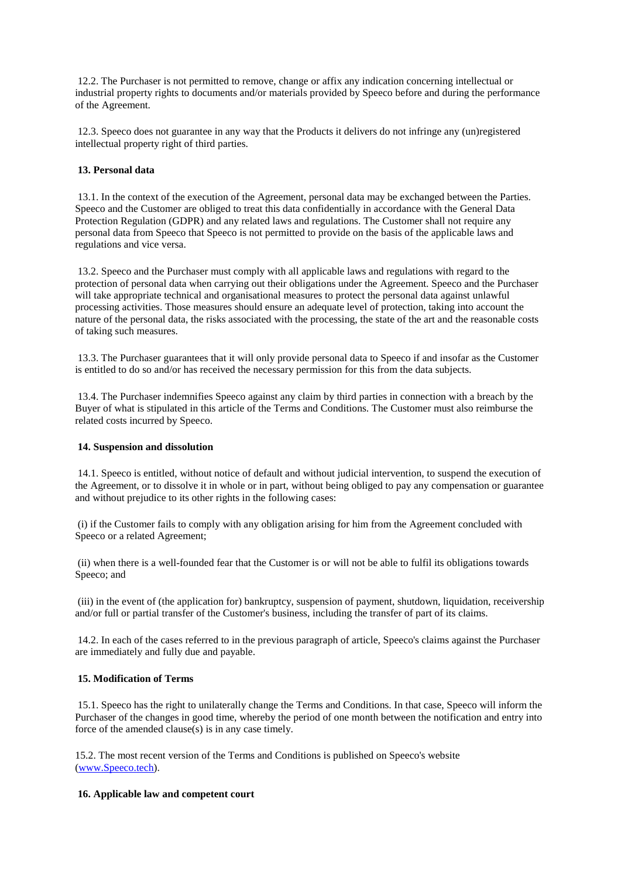12.2. The Purchaser is not permitted to remove, change or affix any indication concerning intellectual or industrial property rights to documents and/or materials provided by Speeco before and during the performance of the Agreement.

12.3. Speeco does not guarantee in any way that the Products it delivers do not infringe any (un)registered intellectual property right of third parties.

# **13. Personal data**

13.1. In the context of the execution of the Agreement, personal data may be exchanged between the Parties. Speeco and the Customer are obliged to treat this data confidentially in accordance with the General Data Protection Regulation (GDPR) and any related laws and regulations. The Customer shall not require any personal data from Speeco that Speeco is not permitted to provide on the basis of the applicable laws and regulations and vice versa.

13.2. Speeco and the Purchaser must comply with all applicable laws and regulations with regard to the protection of personal data when carrying out their obligations under the Agreement. Speeco and the Purchaser will take appropriate technical and organisational measures to protect the personal data against unlawful processing activities. Those measures should ensure an adequate level of protection, taking into account the nature of the personal data, the risks associated with the processing, the state of the art and the reasonable costs of taking such measures.

13.3. The Purchaser guarantees that it will only provide personal data to Speeco if and insofar as the Customer is entitled to do so and/or has received the necessary permission for this from the data subjects.

13.4. The Purchaser indemnifies Speeco against any claim by third parties in connection with a breach by the Buyer of what is stipulated in this article of the Terms and Conditions. The Customer must also reimburse the related costs incurred by Speeco.

# **14. Suspension and dissolution**

14.1. Speeco is entitled, without notice of default and without judicial intervention, to suspend the execution of the Agreement, or to dissolve it in whole or in part, without being obliged to pay any compensation or guarantee and without prejudice to its other rights in the following cases:

(i) if the Customer fails to comply with any obligation arising for him from the Agreement concluded with Speeco or a related Agreement;

(ii) when there is a well-founded fear that the Customer is or will not be able to fulfil its obligations towards Speeco; and

(iii) in the event of (the application for) bankruptcy, suspension of payment, shutdown, liquidation, receivership and/or full or partial transfer of the Customer's business, including the transfer of part of its claims.

14.2. In each of the cases referred to in the previous paragraph of article, Speeco's claims against the Purchaser are immediately and fully due and payable.

# **15. Modification of Terms**

15.1. Speeco has the right to unilaterally change the Terms and Conditions. In that case, Speeco will inform the Purchaser of the changes in good time, whereby the period of one month between the notification and entry into force of the amended clause(s) is in any case timely.

15.2. The most recent version of the Terms and Conditions is published on Speeco's website [\(www.Speeco.tech\)](http://www.speeco.tech/).

# **16. Applicable law and competent court**